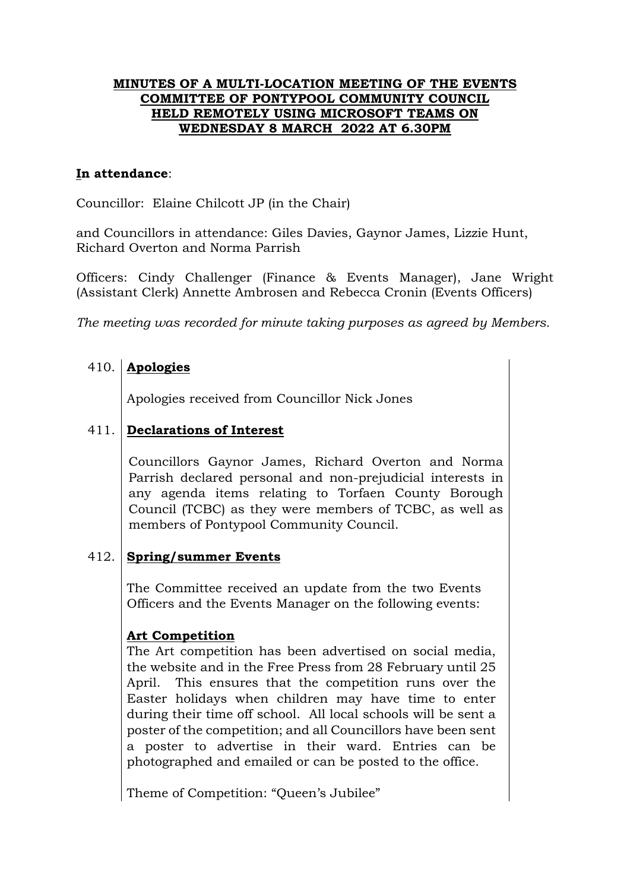### **MINUTES OF A MULTI-LOCATION MEETING OF THE EVENTS COMMITTEE OF PONTYPOOL COMMUNITY COUNCIL HELD REMOTELY USING MICROSOFT TEAMS ON WEDNESDAY 8 MARCH 2022 AT 6.30PM**

### **In attendance**:

Councillor: Elaine Chilcott JP (in the Chair)

and Councillors in attendance: Giles Davies, Gaynor James, Lizzie Hunt, Richard Overton and Norma Parrish

Officers: Cindy Challenger (Finance & Events Manager), Jane Wright (Assistant Clerk) Annette Ambrosen and Rebecca Cronin (Events Officers)

*The meeting was recorded for minute taking purposes as agreed by Members.*

## 410. **Apologies**

Apologies received from Councillor Nick Jones

### 411. **Declarations of Interest**

Councillors Gaynor James, Richard Overton and Norma Parrish declared personal and non-prejudicial interests in any agenda items relating to Torfaen County Borough Council (TCBC) as they were members of TCBC, as well as members of Pontypool Community Council.

#### 412. **Spring/summer Events**

The Committee received an update from the two Events Officers and the Events Manager on the following events:

## **Art Competition**

The Art competition has been advertised on social media, the website and in the Free Press from 28 February until 25 April. This ensures that the competition runs over the Easter holidays when children may have time to enter during their time off school. All local schools will be sent a poster of the competition; and all Councillors have been sent a poster to advertise in their ward. Entries can be photographed and emailed or can be posted to the office.

Theme of Competition: "Queen's Jubilee"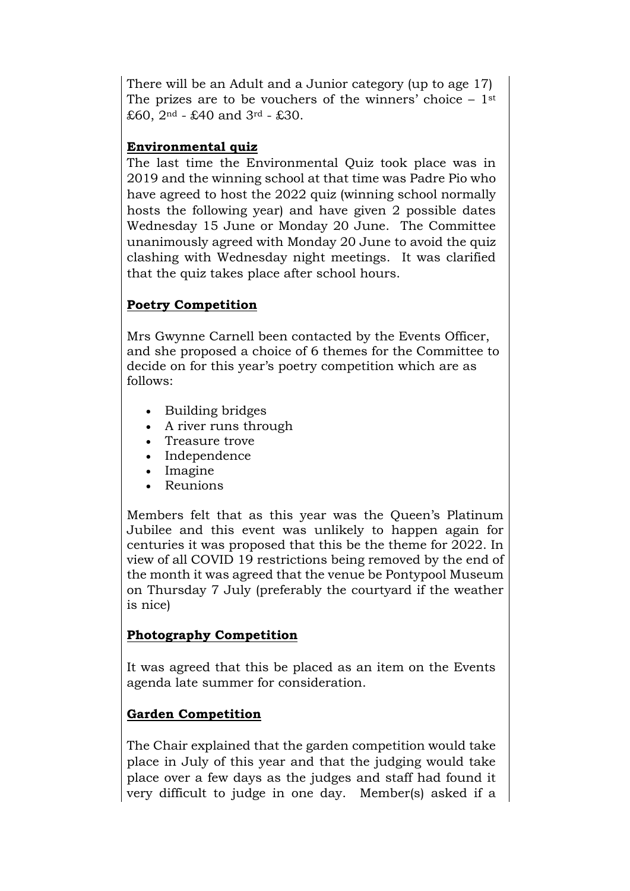There will be an Adult and a Junior category (up to age 17) The prizes are to be vouchers of the winners' choice  $-1$ <sup>st</sup> £60,  $2^{nd}$  - £40 and  $3^{rd}$  - £30.

## **Environmental quiz**

The last time the Environmental Quiz took place was in 2019 and the winning school at that time was Padre Pio who have agreed to host the 2022 quiz (winning school normally hosts the following year) and have given 2 possible dates Wednesday 15 June or Monday 20 June. The Committee unanimously agreed with Monday 20 June to avoid the quiz clashing with Wednesday night meetings. It was clarified that the quiz takes place after school hours.

# **Poetry Competition**

Mrs Gwynne Carnell been contacted by the Events Officer, and she proposed a choice of 6 themes for the Committee to decide on for this year's poetry competition which are as follows:

- Building bridges
- A river runs through
- Treasure trove
- Independence
- Imagine
- Reunions

Members felt that as this year was the Queen's Platinum Jubilee and this event was unlikely to happen again for centuries it was proposed that this be the theme for 2022. In view of all COVID 19 restrictions being removed by the end of the month it was agreed that the venue be Pontypool Museum on Thursday 7 July (preferably the courtyard if the weather is nice)

## **Photography Competition**

It was agreed that this be placed as an item on the Events agenda late summer for consideration.

# **Garden Competition**

The Chair explained that the garden competition would take place in July of this year and that the judging would take place over a few days as the judges and staff had found it very difficult to judge in one day. Member(s) asked if a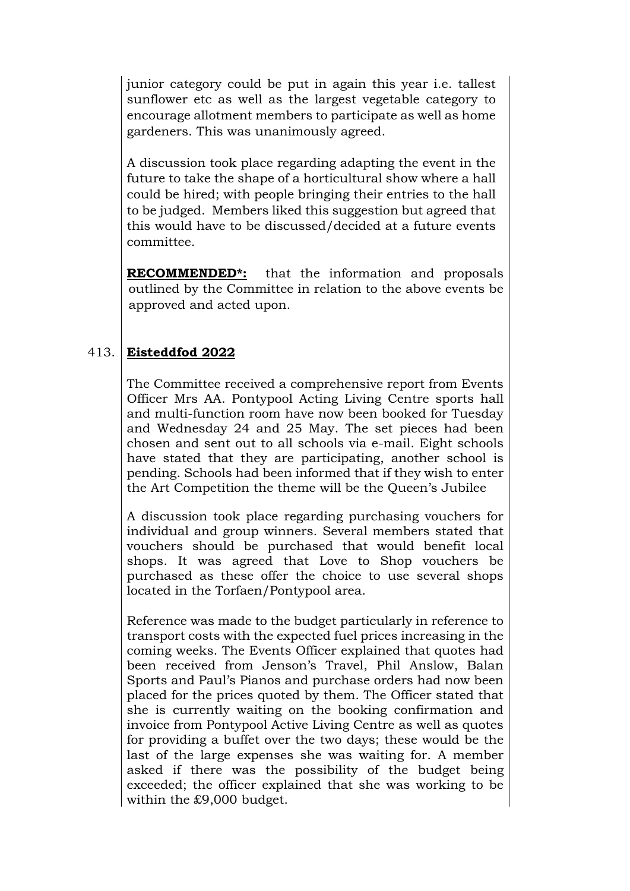junior category could be put in again this year i.e. tallest sunflower etc as well as the largest vegetable category to encourage allotment members to participate as well as home gardeners. This was unanimously agreed.

A discussion took place regarding adapting the event in the future to take the shape of a horticultural show where a hall could be hired; with people bringing their entries to the hall to be judged. Members liked this suggestion but agreed that this would have to be discussed/decided at a future events committee.

**RECOMMENDED\*:** that the information and proposals outlined by the Committee in relation to the above events be approved and acted upon.

### 413. **Eisteddfod 2022**

The Committee received a comprehensive report from Events Officer Mrs AA. Pontypool Acting Living Centre sports hall and multi-function room have now been booked for Tuesday and Wednesday 24 and 25 May. The set pieces had been chosen and sent out to all schools via e-mail. Eight schools have stated that they are participating, another school is pending. Schools had been informed that if they wish to enter the Art Competition the theme will be the Queen's Jubilee

A discussion took place regarding purchasing vouchers for individual and group winners. Several members stated that vouchers should be purchased that would benefit local shops. It was agreed that Love to Shop vouchers be purchased as these offer the choice to use several shops located in the Torfaen/Pontypool area.

Reference was made to the budget particularly in reference to transport costs with the expected fuel prices increasing in the coming weeks. The Events Officer explained that quotes had been received from Jenson's Travel, Phil Anslow, Balan Sports and Paul's Pianos and purchase orders had now been placed for the prices quoted by them. The Officer stated that she is currently waiting on the booking confirmation and invoice from Pontypool Active Living Centre as well as quotes for providing a buffet over the two days; these would be the last of the large expenses she was waiting for. A member asked if there was the possibility of the budget being exceeded; the officer explained that she was working to be within the £9,000 budget.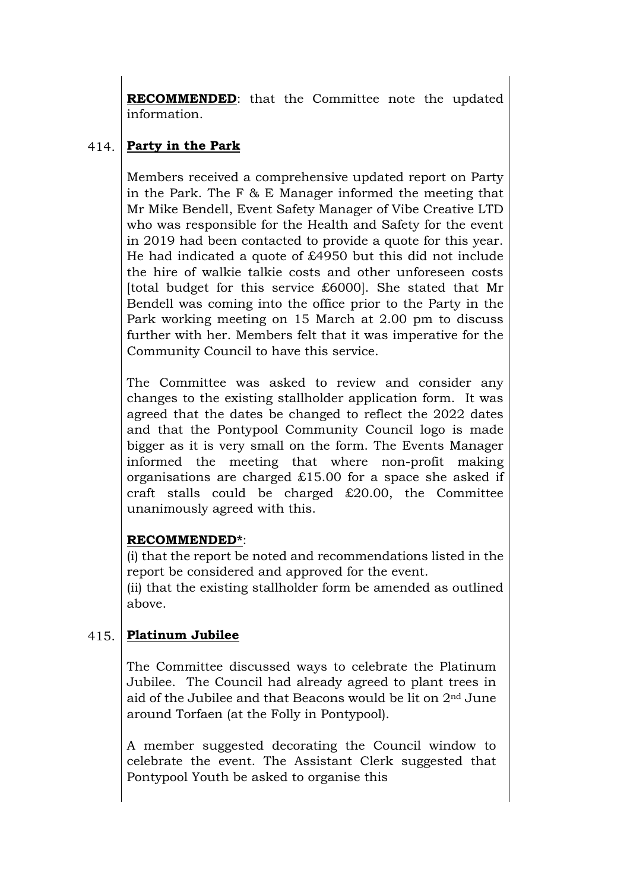**RECOMMENDED**: that the Committee note the updated information.

### 414. **Party in the Park**

Members received a comprehensive updated report on Party in the Park. The F & E Manager informed the meeting that Mr Mike Bendell, Event Safety Manager of Vibe Creative LTD who was responsible for the Health and Safety for the event in 2019 had been contacted to provide a quote for this year. He had indicated a quote of £4950 but this did not include the hire of walkie talkie costs and other unforeseen costs [total budget for this service £6000]. She stated that Mr Bendell was coming into the office prior to the Party in the Park working meeting on 15 March at 2.00 pm to discuss further with her. Members felt that it was imperative for the Community Council to have this service.

The Committee was asked to review and consider any changes to the existing stallholder application form. It was agreed that the dates be changed to reflect the 2022 dates and that the Pontypool Community Council logo is made bigger as it is very small on the form. The Events Manager informed the meeting that where non-profit making organisations are charged £15.00 for a space she asked if craft stalls could be charged £20.00, the Committee unanimously agreed with this.

## **RECOMMENDED\***:

(i) that the report be noted and recommendations listed in the report be considered and approved for the event.

(ii) that the existing stallholder form be amended as outlined above.

#### 415. **Platinum Jubilee**

The Committee discussed ways to celebrate the Platinum Jubilee. The Council had already agreed to plant trees in aid of the Jubilee and that Beacons would be lit on 2nd June around Torfaen (at the Folly in Pontypool).

A member suggested decorating the Council window to celebrate the event. The Assistant Clerk suggested that Pontypool Youth be asked to organise this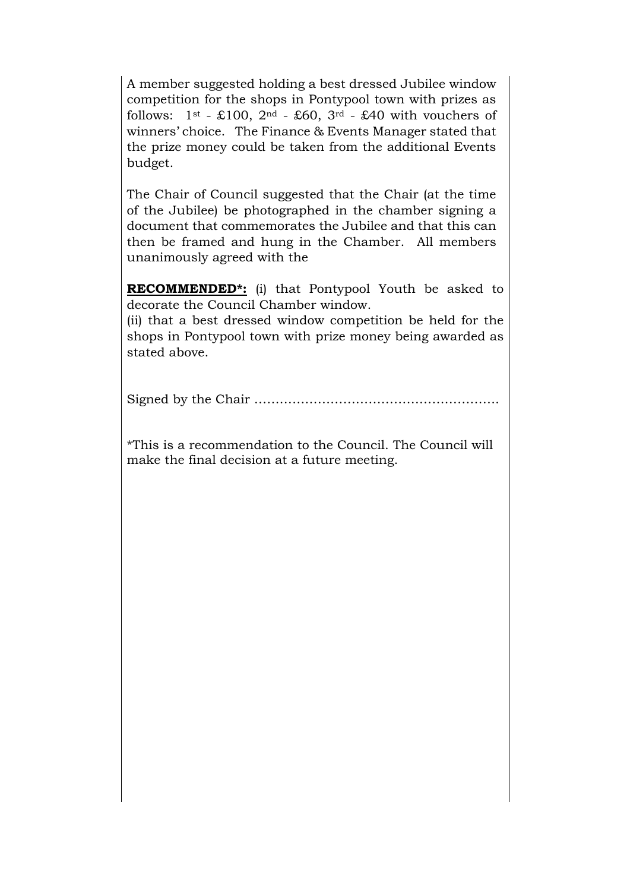A member suggested holding a best dressed Jubilee window competition for the shops in Pontypool town with prizes as follows:  $1^{st}$  - £100,  $2^{nd}$  - £60,  $3^{rd}$  - £40 with vouchers of winners' choice. The Finance & Events Manager stated that the prize money could be taken from the additional Events budget.

The Chair of Council suggested that the Chair (at the time of the Jubilee) be photographed in the chamber signing a document that commemorates the Jubilee and that this can then be framed and hung in the Chamber. All members unanimously agreed with the

**RECOMMENDED\*:** (i) that Pontypool Youth be asked to decorate the Council Chamber window.

(ii) that a best dressed window competition be held for the shops in Pontypool town with prize money being awarded as stated above.

Signed by the Chair ………………………………………………….

\*This is a recommendation to the Council. The Council will make the final decision at a future meeting.